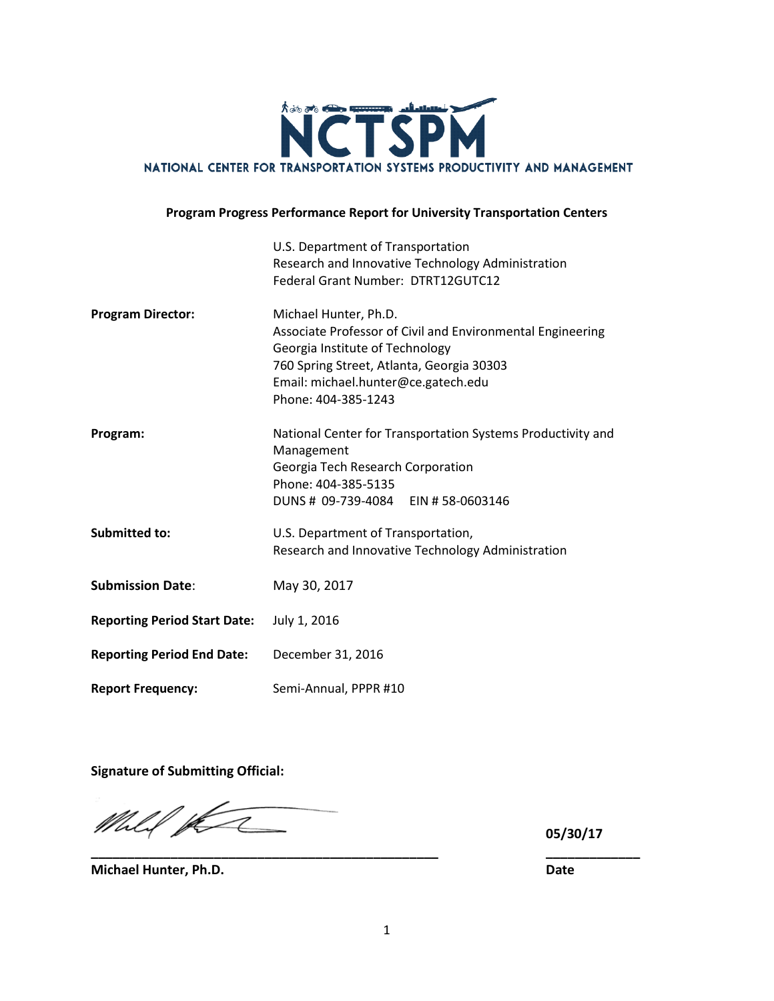

#### **Program Progress Performance Report for University Transportation Centers**

|                                     | U.S. Department of Transportation<br>Research and Innovative Technology Administration<br>Federal Grant Number: DTRT12GUTC12                                                                                                      |
|-------------------------------------|-----------------------------------------------------------------------------------------------------------------------------------------------------------------------------------------------------------------------------------|
| <b>Program Director:</b>            | Michael Hunter, Ph.D.<br>Associate Professor of Civil and Environmental Engineering<br>Georgia Institute of Technology<br>760 Spring Street, Atlanta, Georgia 30303<br>Email: michael.hunter@ce.gatech.edu<br>Phone: 404-385-1243 |
| Program:                            | National Center for Transportation Systems Productivity and<br>Management<br>Georgia Tech Research Corporation<br>Phone: 404-385-5135<br>DUNS # 09-739-4084 EIN # 58-0603146                                                      |
| <b>Submitted to:</b>                | U.S. Department of Transportation,<br>Research and Innovative Technology Administration                                                                                                                                           |
| <b>Submission Date:</b>             | May 30, 2017                                                                                                                                                                                                                      |
| <b>Reporting Period Start Date:</b> | July 1, 2016                                                                                                                                                                                                                      |
| <b>Reporting Period End Date:</b>   | December 31, 2016                                                                                                                                                                                                                 |
| <b>Report Frequency:</b>            | Semi-Annual, PPPR #10                                                                                                                                                                                                             |

**Signature of Submitting Official:**

Mhlil para

**05/30/17**

**Michael Hunter, Ph.D. Date**

**\_\_\_\_\_\_\_\_\_\_\_\_\_\_\_\_\_\_\_\_\_\_\_\_\_\_\_\_\_\_\_\_\_\_\_\_\_\_\_\_\_\_\_\_\_\_\_\_ \_\_\_\_\_\_\_\_\_\_\_\_\_**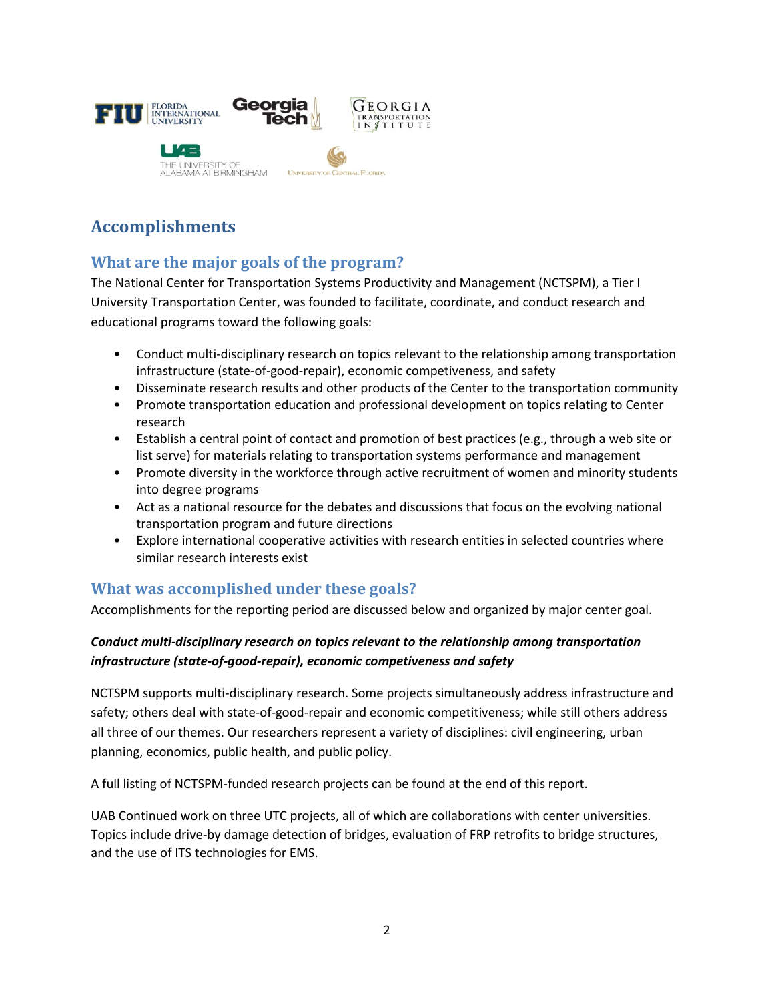

## **Accomplishments**

## **What are the major goals of the program?**

The National Center for Transportation Systems Productivity and Management (NCTSPM), a Tier I University Transportation Center, was founded to facilitate, coordinate, and conduct research and educational programs toward the following goals:

- Conduct multi-disciplinary research on topics relevant to the relationship among transportation infrastructure (state-of-good-repair), economic competiveness, and safety
- Disseminate research results and other products of the Center to the transportation community
- Promote transportation education and professional development on topics relating to Center research
- Establish a central point of contact and promotion of best practices (e.g., through a web site or list serve) for materials relating to transportation systems performance and management
- Promote diversity in the workforce through active recruitment of women and minority students into degree programs
- Act as a national resource for the debates and discussions that focus on the evolving national transportation program and future directions
- Explore international cooperative activities with research entities in selected countries where similar research interests exist

### **What was accomplished under these goals?**

Accomplishments for the reporting period are discussed below and organized by major center goal.

### *Conduct multi-disciplinary research on topics relevant to the relationship among transportation infrastructure (state-of-good-repair), economic competiveness and safety*

NCTSPM supports multi-disciplinary research. Some projects simultaneously address infrastructure and safety; others deal with state-of-good-repair and economic competitiveness; while still others address all three of our themes. Our researchers represent a variety of disciplines: civil engineering, urban planning, economics, public health, and public policy.

A full listing of NCTSPM-funded research projects can be found at the end of this report.

UAB Continued work on three UTC projects, all of which are collaborations with center universities. Topics include drive-by damage detection of bridges, evaluation of FRP retrofits to bridge structures, and the use of ITS technologies for EMS.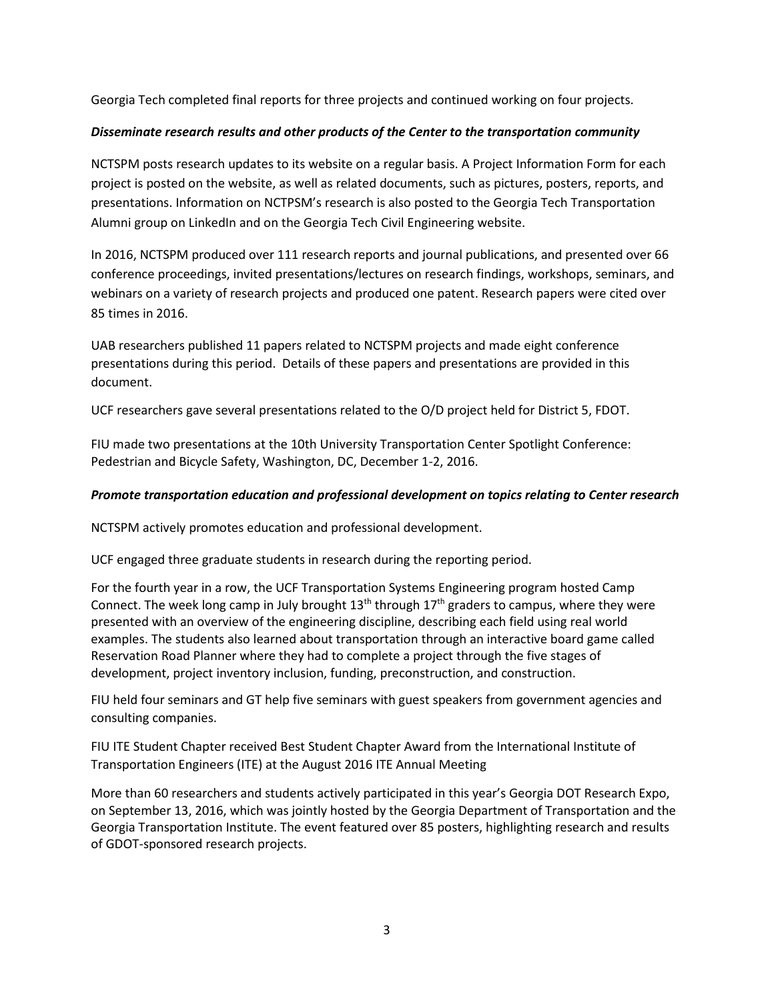Georgia Tech completed final reports for three projects and continued working on four projects.

#### *Disseminate research results and other products of the Center to the transportation community*

NCTSPM posts research updates to its website on a regular basis. A Project Information Form for each project is posted on the website, as well as related documents, such as pictures, posters, reports, and presentations. Information on NCTPSM's research is also posted to the Georgia Tech Transportation Alumni group on LinkedIn and on the Georgia Tech Civil Engineering website.

In 2016, NCTSPM produced over 111 research reports and journal publications, and presented over 66 conference proceedings, invited presentations/lectures on research findings, workshops, seminars, and webinars on a variety of research projects and produced one patent. Research papers were cited over 85 times in 2016.

UAB researchers published 11 papers related to NCTSPM projects and made eight conference presentations during this period. Details of these papers and presentations are provided in this document.

UCF researchers gave several presentations related to the O/D project held for District 5, FDOT.

FIU made two presentations at the 10th University Transportation Center Spotlight Conference: Pedestrian and Bicycle Safety, Washington, DC, December 1-2, 2016.

#### *Promote transportation education and professional development on topics relating to Center research*

NCTSPM actively promotes education and professional development.

UCF engaged three graduate students in research during the reporting period.

For the fourth year in a row, the UCF Transportation Systems Engineering program hosted Camp Connect. The week long camp in July brought  $13<sup>th</sup>$  through  $17<sup>th</sup>$  graders to campus, where they were presented with an overview of the engineering discipline, describing each field using real world examples. The students also learned about transportation through an interactive board game called Reservation Road Planner where they had to complete a project through the five stages of development, project inventory inclusion, funding, preconstruction, and construction.

FIU held four seminars and GT help five seminars with guest speakers from government agencies and consulting companies.

FIU ITE Student Chapter received Best Student Chapter Award from the International Institute of Transportation Engineers (ITE) at the August 2016 ITE Annual Meeting

More than 60 researchers and students actively participated in this year's Georgia DOT Research Expo, on September 13, 2016, which was jointly hosted by the Georgia Department of Transportation and the Georgia Transportation Institute. The event featured over 85 posters, highlighting research and results of GDOT-sponsored research projects.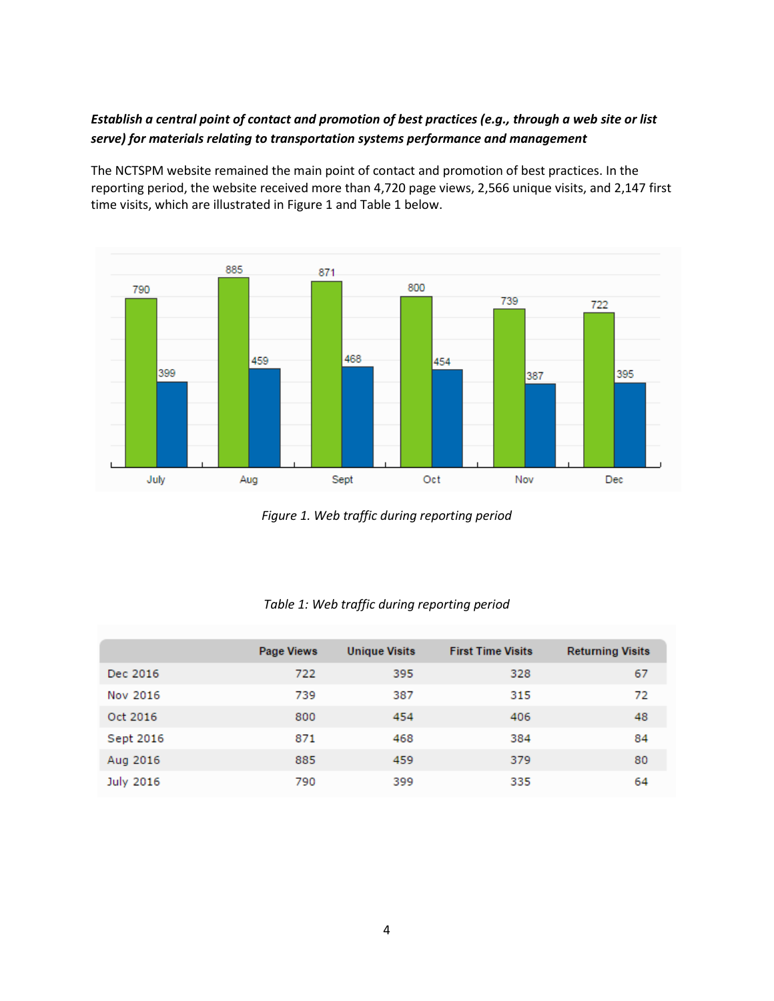### *Establish a central point of contact and promotion of best practices (e.g., through a web site or list serve) for materials relating to transportation systems performance and management*

The [NCTSPM website](http://nctspm.gatech.edu/) remained the main point of contact and promotion of best practices. In the reporting period, the website received more than 4,720 page views, 2,566 unique visits, and 2,147 first time visits, which are illustrated in Figure 1 and Table 1 below.



*Figure 1. Web traffic during reporting period*

|           | <b>Page Views</b> | <b>Unique Visits</b> | <b>First Time Visits</b> | <b>Returning Visits</b> |
|-----------|-------------------|----------------------|--------------------------|-------------------------|
| Dec 2016  | 722               | 395                  | 328                      | 67                      |
| Nov 2016  | 739               | 387                  | 315                      | 72                      |
| Oct 2016  | 800               | 454                  | 406                      | 48                      |
| Sept 2016 | 871               | 468                  | 384                      | 84                      |
| Aug 2016  | 885               | 459                  | 379                      | 80                      |
| July 2016 | 790               | 399                  | 335                      | 64                      |

#### *Table 1: Web traffic during reporting period*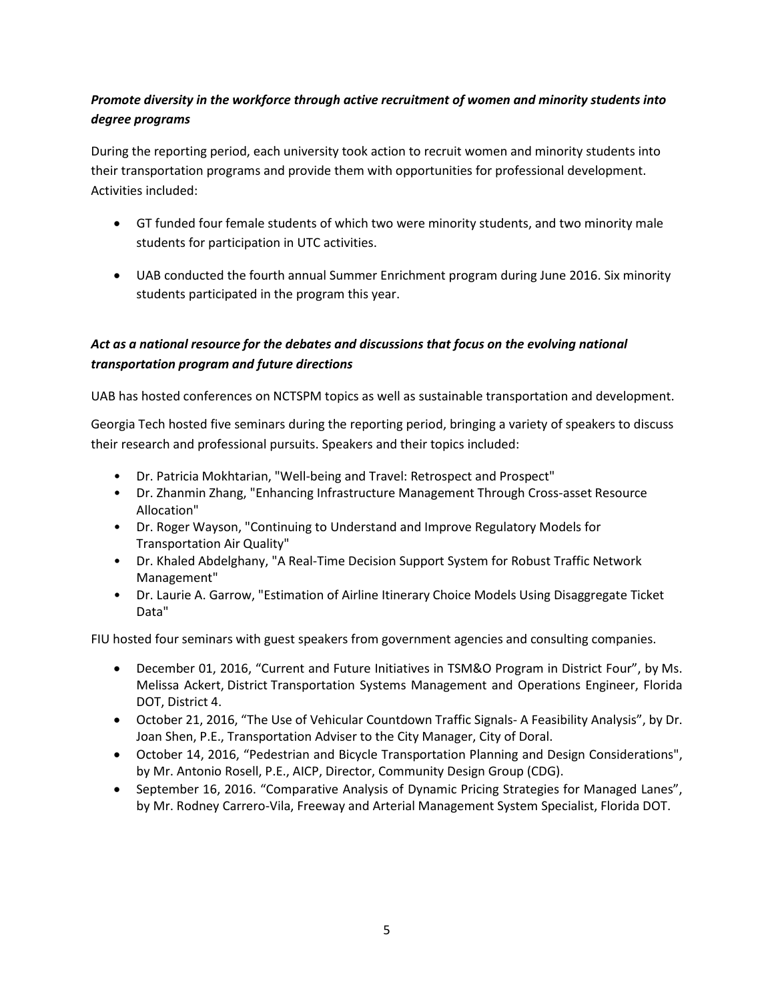### *Promote diversity in the workforce through active recruitment of women and minority students into degree programs*

During the reporting period, each university took action to recruit women and minority students into their transportation programs and provide them with opportunities for professional development. Activities included:

- GT funded four female students of which two were minority students, and two minority male students for participation in UTC activities.
- UAB conducted the fourth annual Summer Enrichment program during June 2016. Six minority students participated in the program this year.

### *Act as a national resource for the debates and discussions that focus on the evolving national transportation program and future directions*

UAB has hosted conferences on NCTSPM topics as well as sustainable transportation and development.

Georgia Tech hosted five seminars during the reporting period, bringing a variety of speakers to discuss their research and professional pursuits. Speakers and their topics included:

- Dr. Patricia Mokhtarian, "Well-being and Travel: Retrospect and Prospect"
- Dr. Zhanmin Zhang, "Enhancing Infrastructure Management Through Cross-asset Resource Allocation"
- Dr. Roger Wayson, "Continuing to Understand and Improve Regulatory Models for Transportation Air Quality"
- Dr. Khaled Abdelghany, "A Real-Time Decision Support System for Robust Traffic Network Management"
- Dr. Laurie A. Garrow, "Estimation of Airline Itinerary Choice Models Using Disaggregate Ticket Data"

FIU hosted four seminars with guest speakers from government agencies and consulting companies.

- December 01, 2016, "Current and Future Initiatives in TSM&O Program in District Four", by Ms. Melissa Ackert, District Transportation Systems Management and Operations Engineer, Florida DOT, District 4.
- October 21, 2016, "The Use of Vehicular Countdown Traffic Signals- A Feasibility Analysis", by Dr. Joan Shen, P.E., Transportation Adviser to the City Manager, City of Doral.
- October 14, 2016, "Pedestrian and Bicycle Transportation Planning and Design Considerations", by Mr. Antonio Rosell, P.E., AICP, Director, Community Design Group (CDG).
- September 16, 2016. "Comparative Analysis of Dynamic Pricing Strategies for Managed Lanes", by Mr. Rodney Carrero-Vila, Freeway and Arterial Management System Specialist, Florida DOT.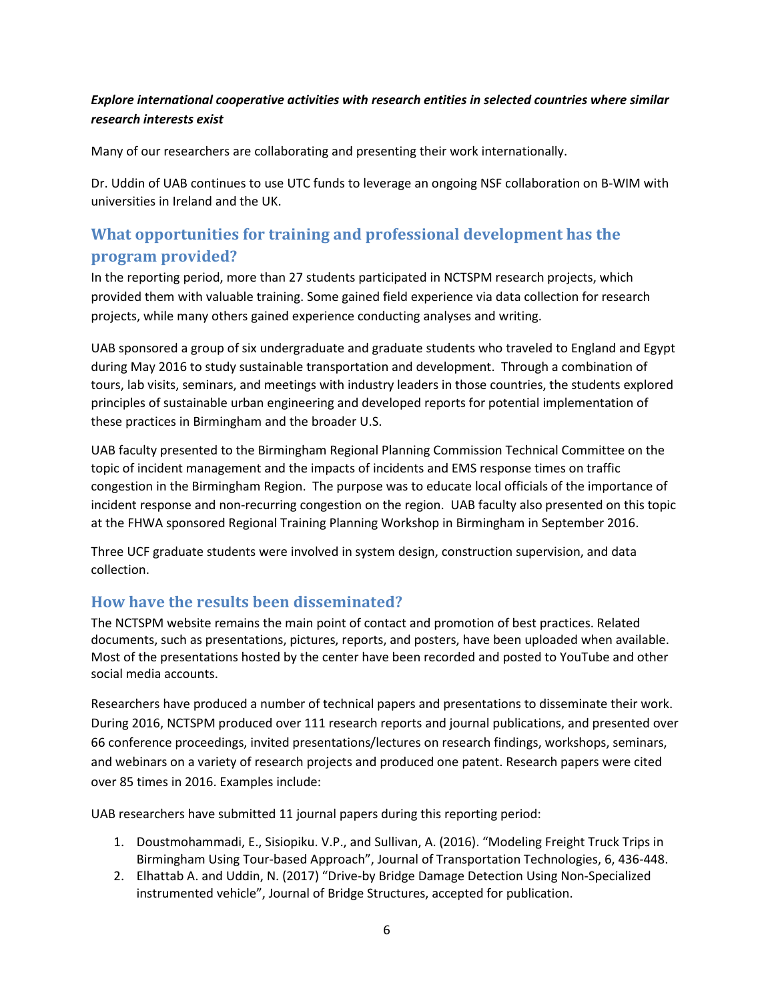### *Explore international cooperative activities with research entities in selected countries where similar research interests exist*

Many of our researchers are collaborating and presenting their work internationally.

Dr. Uddin of UAB continues to use UTC funds to leverage an ongoing NSF collaboration on B-WIM with universities in Ireland and the UK.

## **What opportunities for training and professional development has the program provided?**

In the reporting period, more than 27 students participated in NCTSPM research projects, which provided them with valuable training. Some gained field experience via data collection for research projects, while many others gained experience conducting analyses and writing.

UAB sponsored a group of six undergraduate and graduate students who traveled to England and Egypt during May 2016 to study sustainable transportation and development. Through a combination of tours, lab visits, seminars, and meetings with industry leaders in those countries, the students explored principles of sustainable urban engineering and developed reports for potential implementation of these practices in Birmingham and the broader U.S.

UAB faculty presented to the Birmingham Regional Planning Commission Technical Committee on the topic of incident management and the impacts of incidents and EMS response times on traffic congestion in the Birmingham Region. The purpose was to educate local officials of the importance of incident response and non-recurring congestion on the region. UAB faculty also presented on this topic at the FHWA sponsored Regional Training Planning Workshop in Birmingham in September 2016.

Three UCF graduate students were involved in system design, construction supervision, and data collection.

### **How have the results been disseminated?**

The NCTSPM website remains the main point of contact and promotion of best practices. Related documents, such as presentations, pictures, reports, and posters, have been uploaded when available. Most of the presentations hosted by the center have been recorded and posted to YouTube and other social media accounts.

Researchers have produced a number of technical papers and presentations to disseminate their work. During 2016, NCTSPM produced over 111 research reports and journal publications, and presented over 66 conference proceedings, invited presentations/lectures on research findings, workshops, seminars, and webinars on a variety of research projects and produced one patent. Research papers were cited over 85 times in 2016. Examples include:

UAB researchers have submitted 11 journal papers during this reporting period:

- 1. Doustmohammadi, E., Sisiopiku. V.P., and Sullivan, A. (2016). "Modeling Freight Truck Trips in Birmingham Using Tour-based Approach", Journal of Transportation Technologies, 6, 436-448.
- 2. Elhattab A. and Uddin, N. (2017) "Drive-by Bridge Damage Detection Using Non-Specialized instrumented vehicle", Journal of Bridge Structures, accepted for publication.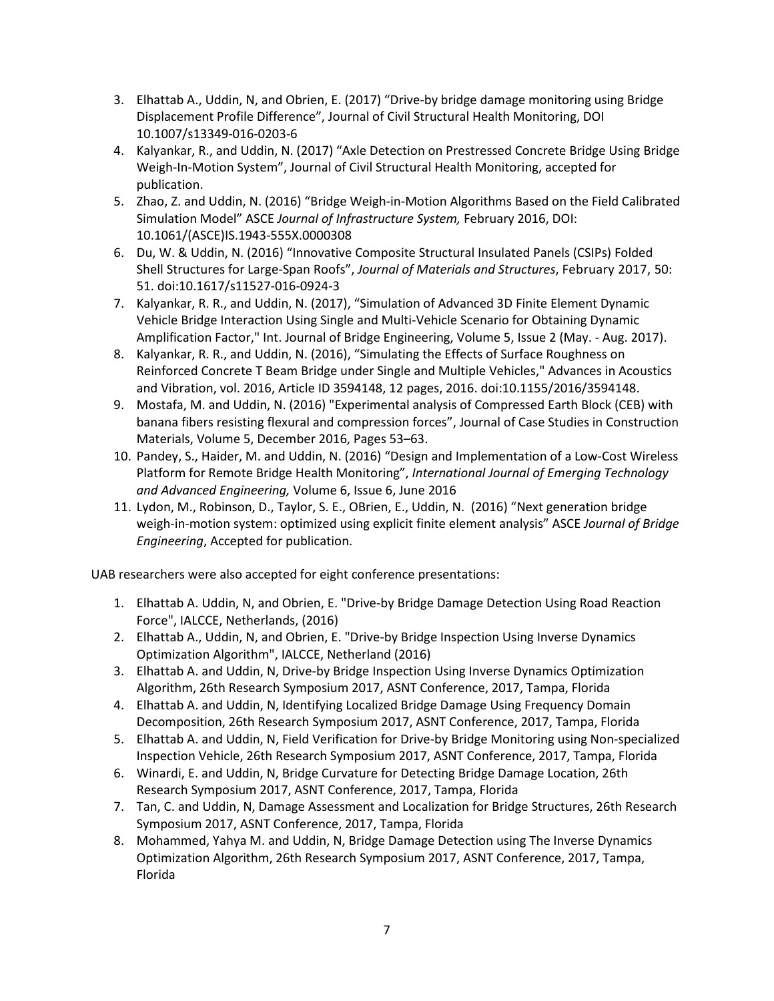- 3. Elhattab A., Uddin, N, and Obrien, E. (2017) "Drive-by bridge damage monitoring using Bridge Displacement Profile Difference", Journal of Civil Structural Health Monitoring, DOI 10.1007/s13349-016-0203-6
- 4. Kalyankar, R., and Uddin, N. (2017) "Axle Detection on Prestressed Concrete Bridge Using Bridge Weigh-In-Motion System", Journal of Civil Structural Health Monitoring, accepted for publication.
- 5. Zhao, Z. and Uddin, N. (2016) "Bridge Weigh-in-Motion Algorithms Based on the Field Calibrated Simulation Model" ASCE *Journal of Infrastructure System,* February 2016, DOI: 10.1061/(ASCE)IS.1943-555X.0000308
- 6. Du, W. & Uddin, N. (2016) "Innovative Composite Structural Insulated Panels (CSIPs) Folded Shell Structures for Large-Span Roofs", *Journal of Materials and Structures*, February 2017, 50: 51. doi:10.1617/s11527-016-0924-3
- 7. Kalyankar, R. R., and Uddin, N. (2017), "Simulation of Advanced 3D Finite Element Dynamic Vehicle Bridge Interaction Using Single and Multi-Vehicle Scenario for Obtaining Dynamic Amplification Factor," Int. Journal of Bridge Engineering, Volume 5, Issue 2 (May. - Aug. 2017).
- 8. Kalyankar, R. R., and Uddin, N. (2016), "Simulating the Effects of Surface Roughness on Reinforced Concrete T Beam Bridge under Single and Multiple Vehicles," Advances in Acoustics and Vibration, vol. 2016, Article ID 3594148, 12 pages, 2016. doi:10.1155/2016/3594148.
- 9. Mostafa, M. and Uddin, N. (2016) "Experimental analysis of Compressed Earth Block (CEB) with banana fibers resisting flexural and compression forces", Journal of Case Studies in Construction Materials, Volume 5, December 2016, Pages 53–63.
- 10. Pandey, S., Haider, M. and Uddin, N. (2016) "Design and Implementation of a Low-Cost Wireless Platform for Remote Bridge Health Monitoring", *International Journal of Emerging Technology and Advanced Engineering,* Volume 6, Issue 6, June 2016
- 11. Lydon, M., Robinson, D., Taylor, S. E., OBrien, E., Uddin, N. (2016) "Next generation bridge weigh-in-motion system: optimized using explicit finite element analysis" ASCE *Journal of Bridge Engineering*, Accepted for publication.

UAB researchers were also accepted for eight conference presentations:

- 1. Elhattab A. Uddin, N, and Obrien, E. "Drive-by Bridge Damage Detection Using Road Reaction Force", IALCCE, Netherlands, (2016)
- 2. Elhattab A., Uddin, N, and Obrien, E. "Drive-by Bridge Inspection Using Inverse Dynamics Optimization Algorithm", IALCCE, Netherland (2016)
- 3. Elhattab A. and Uddin, N, Drive-by Bridge Inspection Using Inverse Dynamics Optimization Algorithm, 26th Research Symposium 2017, ASNT Conference, 2017, Tampa, Florida
- 4. Elhattab A. and Uddin, N, Identifying Localized Bridge Damage Using Frequency Domain Decomposition, 26th Research Symposium 2017, ASNT Conference, 2017, Tampa, Florida
- 5. Elhattab A. and Uddin, N, Field Verification for Drive-by Bridge Monitoring using Non-specialized Inspection Vehicle, 26th Research Symposium 2017, ASNT Conference, 2017, Tampa, Florida
- 6. Winardi, E. and Uddin, N, Bridge Curvature for Detecting Bridge Damage Location, 26th Research Symposium 2017, ASNT Conference, 2017, Tampa, Florida
- 7. Tan, C. and Uddin, N, Damage Assessment and Localization for Bridge Structures, 26th Research Symposium 2017, ASNT Conference, 2017, Tampa, Florida
- 8. Mohammed, Yahya M. and Uddin, N, Bridge Damage Detection using The Inverse Dynamics Optimization Algorithm, 26th Research Symposium 2017, ASNT Conference, 2017, Tampa, Florida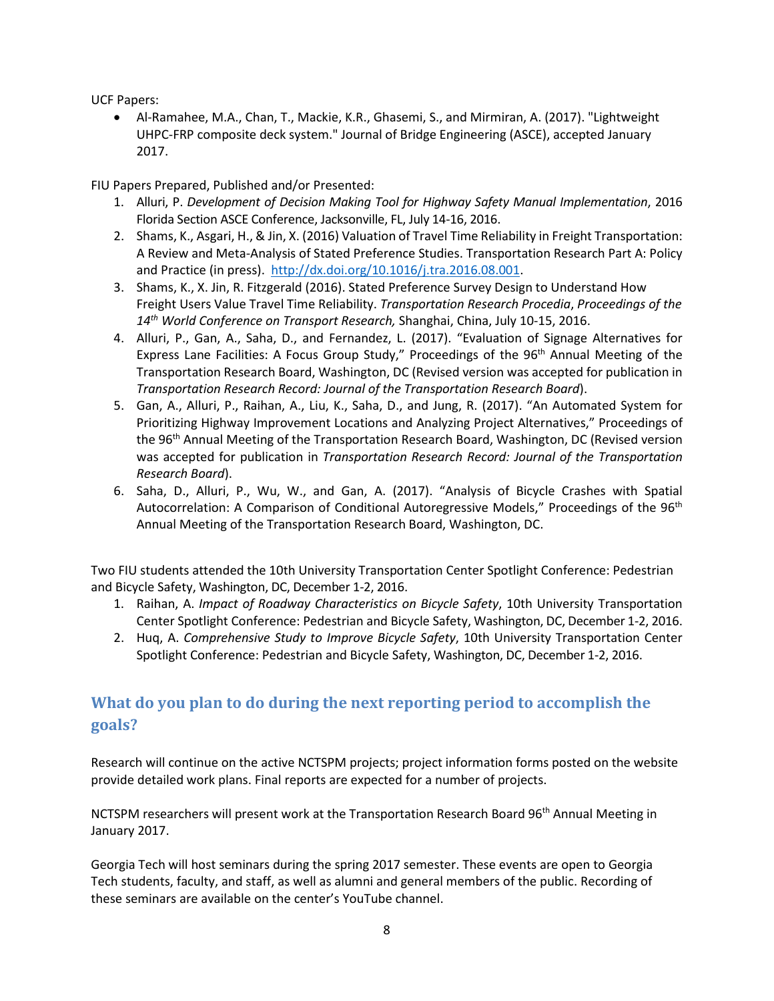UCF Papers:

• Al-Ramahee, M.A., Chan, T., Mackie, K.R., Ghasemi, S., and Mirmiran, A. (2017). "Lightweight UHPC-FRP composite deck system." Journal of Bridge Engineering (ASCE), accepted January 2017.

FIU Papers Prepared, Published and/or Presented:

- 1. Alluri, P. *Development of Decision Making Tool for Highway Safety Manual Implementation*, 2016 Florida Section ASCE Conference, Jacksonville, FL, July 14-16, 2016.
- 2. Shams, K., Asgari, H., & Jin, X. (2016) Valuation of Travel Time Reliability in Freight Transportation: A Review and Meta-Analysis of Stated Preference Studies. Transportation Research Part A: Policy and Practice (in press). [http://dx.doi.org/10.1016/j.tra.2016.08.001.](http://dx.doi.org/10.1016/j.tra.2016.08.001)
- 3. Shams, K., X. Jin, R. Fitzgerald (2016). Stated Preference Survey Design to Understand How Freight Users Value Travel Time Reliability. *Transportation Research Procedia*, *Proceedings of the 14th World Conference on Transport Research,* Shanghai, China, July 10-15, 2016.
- 4. Alluri, P., Gan, A., Saha, D., and Fernandez, L. (2017). "Evaluation of Signage Alternatives for Express Lane Facilities: A Focus Group Study," Proceedings of the 96<sup>th</sup> Annual Meeting of the Transportation Research Board, Washington, DC (Revised version was accepted for publication in *Transportation Research Record: Journal of the Transportation Research Board*).
- 5. Gan, A., Alluri, P., Raihan, A., Liu, K., Saha, D., and Jung, R. (2017). "An Automated System for Prioritizing Highway Improvement Locations and Analyzing Project Alternatives," Proceedings of the 96<sup>th</sup> Annual Meeting of the Transportation Research Board, Washington, DC (Revised version was accepted for publication in *Transportation Research Record: Journal of the Transportation Research Board*).
- 6. Saha, D., Alluri, P., Wu, W., and Gan, A. (2017). "Analysis of Bicycle Crashes with Spatial Autocorrelation: A Comparison of Conditional Autoregressive Models," Proceedings of the 96<sup>th</sup> Annual Meeting of the Transportation Research Board, Washington, DC.

Two FIU students attended the 10th University Transportation Center Spotlight Conference: Pedestrian and Bicycle Safety, Washington, DC, December 1-2, 2016.

- 1. Raihan, A. *Impact of Roadway Characteristics on Bicycle Safety*, 10th University Transportation Center Spotlight Conference: Pedestrian and Bicycle Safety, Washington, DC, December 1-2, 2016.
- 2. Huq, A. *Comprehensive Study to Improve Bicycle Safety*, 10th University Transportation Center Spotlight Conference: Pedestrian and Bicycle Safety, Washington, DC, December 1-2, 2016.

## **What do you plan to do during the next reporting period to accomplish the goals?**

Research will continue on the active NCTSPM projects; project information forms posted on the website provide detailed work plans. Final reports are expected for a number of projects.

NCTSPM researchers will present work at the Transportation Research Board 96<sup>th</sup> Annual Meeting in January 2017.

Georgia Tech will host seminars during the spring 2017 semester. These events are open to Georgia Tech students, faculty, and staff, as well as alumni and general members of the public. Recording of these seminars are available on the center's YouTube channel.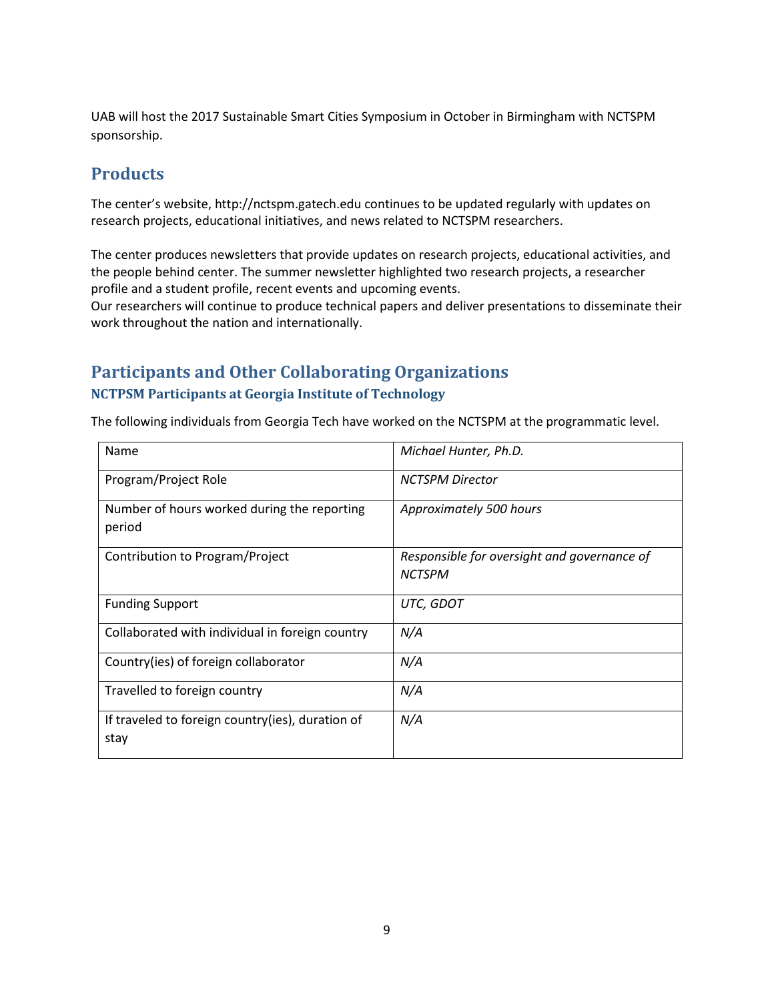UAB will host the 2017 Sustainable Smart Cities Symposium in October in Birmingham with NCTSPM sponsorship.

## **Products**

The center's website, [http://nctspm.gatech.edu](http://nctspm.gatech.edu/) continues to be updated regularly with updates on research projects, educational initiatives, and news related to NCTSPM researchers.

The center produces newsletters that provide updates on research projects, educational activities, and the people behind center. The summer newsletter highlighted two research projects, a researcher profile and a student profile, recent events and upcoming events.

Our researchers will continue to produce technical papers and deliver presentations to disseminate their work throughout the nation and internationally.

## **Participants and Other Collaborating Organizations NCTPSM Participants at Georgia Institute of Technology**

The following individuals from Georgia Tech have worked on the NCTSPM at the programmatic level.

| Name                                                     | Michael Hunter, Ph.D.                                        |
|----------------------------------------------------------|--------------------------------------------------------------|
| Program/Project Role                                     | <b>NCTSPM Director</b>                                       |
| Number of hours worked during the reporting<br>period    | Approximately 500 hours                                      |
| Contribution to Program/Project                          | Responsible for oversight and governance of<br><b>NCTSPM</b> |
| <b>Funding Support</b>                                   | UTC, GDOT                                                    |
| Collaborated with individual in foreign country          | N/A                                                          |
| Country(ies) of foreign collaborator                     | N/A                                                          |
| Travelled to foreign country                             | N/A                                                          |
| If traveled to foreign country(ies), duration of<br>stay | N/A                                                          |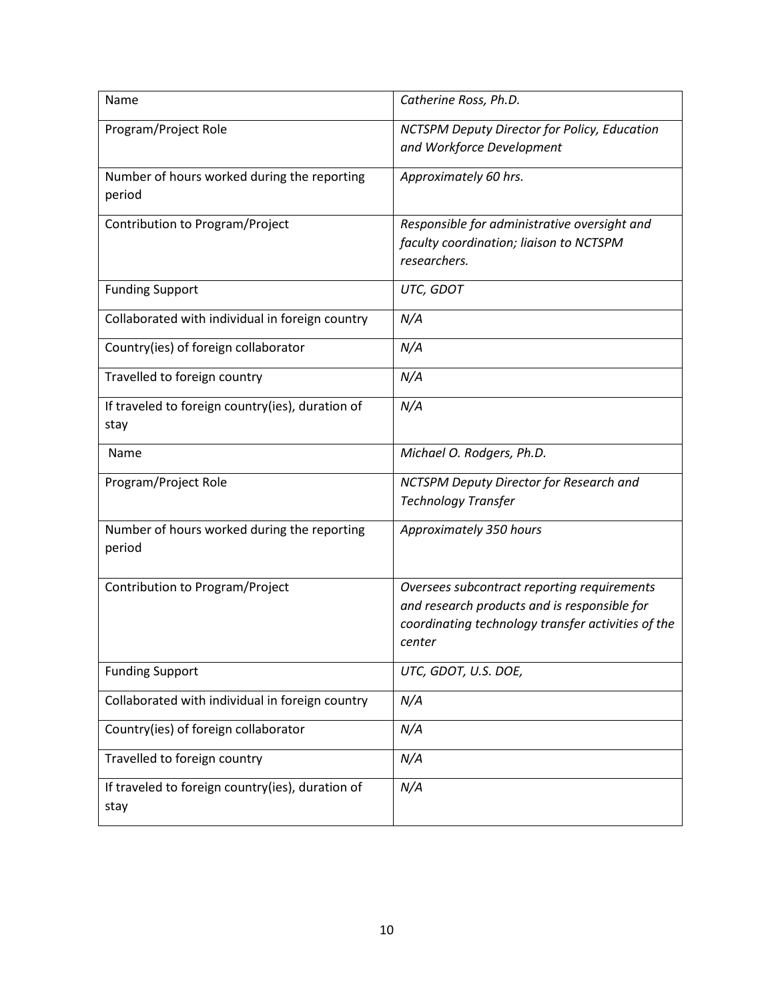| Name                                                     | Catherine Ross, Ph.D.                                                                                                                                       |
|----------------------------------------------------------|-------------------------------------------------------------------------------------------------------------------------------------------------------------|
| Program/Project Role                                     | <b>NCTSPM Deputy Director for Policy, Education</b><br>and Workforce Development                                                                            |
| Number of hours worked during the reporting<br>period    | Approximately 60 hrs.                                                                                                                                       |
| Contribution to Program/Project                          | Responsible for administrative oversight and<br>faculty coordination; liaison to NCTSPM<br>researchers.                                                     |
| <b>Funding Support</b>                                   | UTC, GDOT                                                                                                                                                   |
| Collaborated with individual in foreign country          | N/A                                                                                                                                                         |
| Country(ies) of foreign collaborator                     | N/A                                                                                                                                                         |
| Travelled to foreign country                             | N/A                                                                                                                                                         |
| If traveled to foreign country(ies), duration of<br>stay | N/A                                                                                                                                                         |
| Name                                                     | Michael O. Rodgers, Ph.D.                                                                                                                                   |
| Program/Project Role                                     | NCTSPM Deputy Director for Research and<br><b>Technology Transfer</b>                                                                                       |
| Number of hours worked during the reporting<br>period    | Approximately 350 hours                                                                                                                                     |
| Contribution to Program/Project                          | Oversees subcontract reporting requirements<br>and research products and is responsible for<br>coordinating technology transfer activities of the<br>center |
| <b>Funding Support</b>                                   | UTC, GDOT, U.S. DOE,                                                                                                                                        |
| Collaborated with individual in foreign country          | N/A                                                                                                                                                         |
| Country(ies) of foreign collaborator                     | N/A                                                                                                                                                         |
| Travelled to foreign country                             | N/A                                                                                                                                                         |
| If traveled to foreign country(ies), duration of<br>stay | N/A                                                                                                                                                         |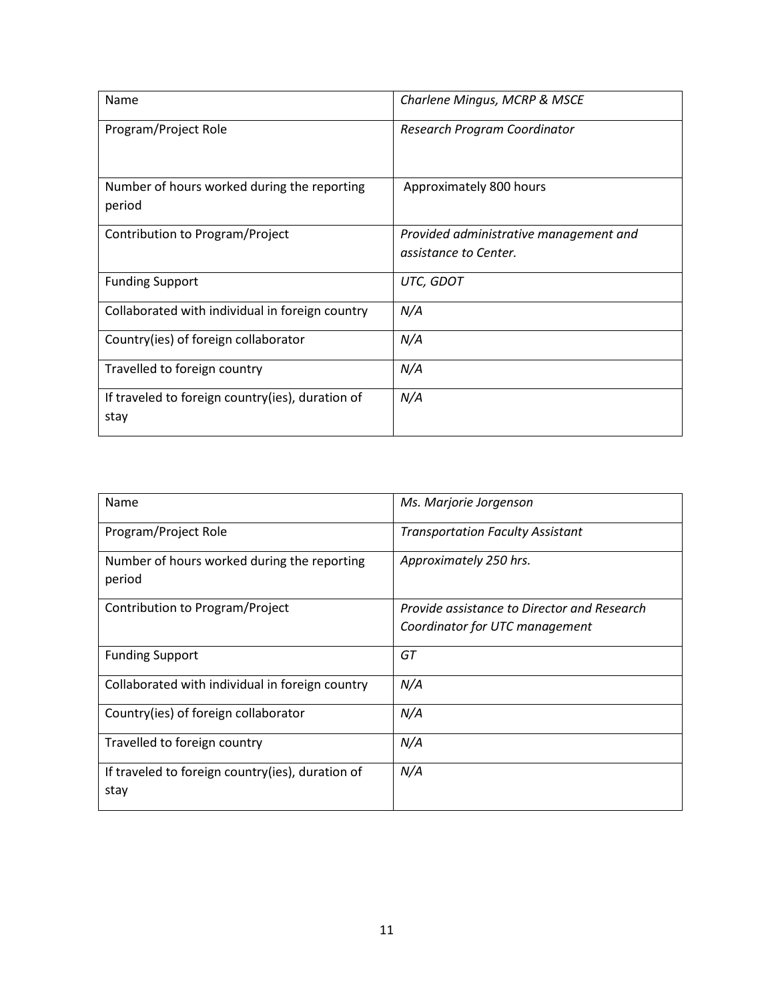| Name                                                     | Charlene Mingus, MCRP & MSCE                                    |
|----------------------------------------------------------|-----------------------------------------------------------------|
| Program/Project Role                                     | Research Program Coordinator                                    |
| Number of hours worked during the reporting<br>period    | Approximately 800 hours                                         |
| Contribution to Program/Project                          | Provided administrative management and<br>assistance to Center. |
| <b>Funding Support</b>                                   | UTC, GDOT                                                       |
| Collaborated with individual in foreign country          | N/A                                                             |
| Country(ies) of foreign collaborator                     | N/A                                                             |
| Travelled to foreign country                             | N/A                                                             |
| If traveled to foreign country(ies), duration of<br>stay | N/A                                                             |

| Name                                                  | Ms. Marjorie Jorgenson                      |
|-------------------------------------------------------|---------------------------------------------|
| Program/Project Role                                  | <b>Transportation Faculty Assistant</b>     |
| Number of hours worked during the reporting<br>period | Approximately 250 hrs.                      |
| Contribution to Program/Project                       | Provide assistance to Director and Research |
|                                                       | Coordinator for UTC management              |
| <b>Funding Support</b>                                | GT                                          |
| Collaborated with individual in foreign country       | N/A                                         |
| Country(ies) of foreign collaborator                  | N/A                                         |
| Travelled to foreign country                          | N/A                                         |
| If traveled to foreign country(ies), duration of      | N/A                                         |
| stay                                                  |                                             |
|                                                       |                                             |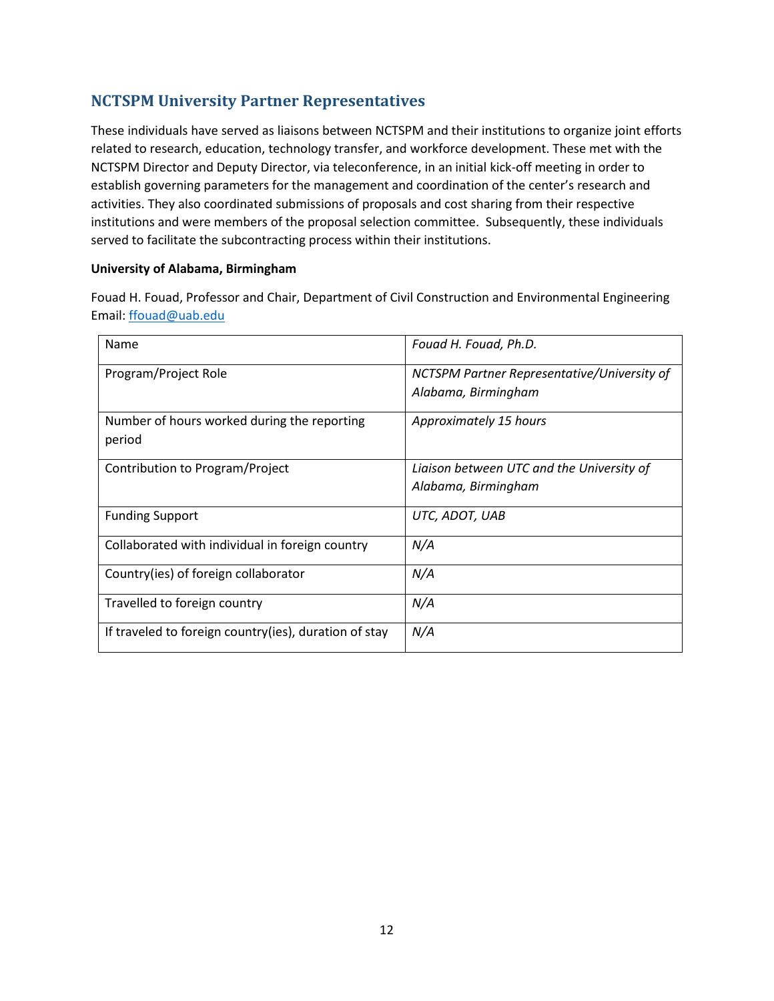### **NCTSPM University Partner Representatives**

These individuals have served as liaisons between NCTSPM and their institutions to organize joint efforts related to research, education, technology transfer, and workforce development. These met with the NCTSPM Director and Deputy Director, via teleconference, in an initial kick-off meeting in order to establish governing parameters for the management and coordination of the center's research and activities. They also coordinated submissions of proposals and cost sharing from their respective institutions and were members of the proposal selection committee. Subsequently, these individuals served to facilitate the subcontracting process within their institutions.

#### **University of Alabama, Birmingham**

Fouad H. Fouad, Professor and Chair, Department of Civil Construction and Environmental Engineering Email: [ffouad@uab.edu](mailto:ffouad@uab.edu)

| Name                                                   | Fouad H. Fouad, Ph.D.                                              |
|--------------------------------------------------------|--------------------------------------------------------------------|
| Program/Project Role                                   | NCTSPM Partner Representative/University of<br>Alabama, Birmingham |
|                                                        |                                                                    |
| Number of hours worked during the reporting<br>period  | Approximately 15 hours                                             |
| Contribution to Program/Project                        | Liaison between UTC and the University of                          |
|                                                        | Alabama, Birmingham                                                |
| <b>Funding Support</b>                                 | UTC, ADOT, UAB                                                     |
| Collaborated with individual in foreign country        | N/A                                                                |
| Country(ies) of foreign collaborator                   | N/A                                                                |
| Travelled to foreign country                           | N/A                                                                |
| If traveled to foreign country (ies), duration of stay | N/A                                                                |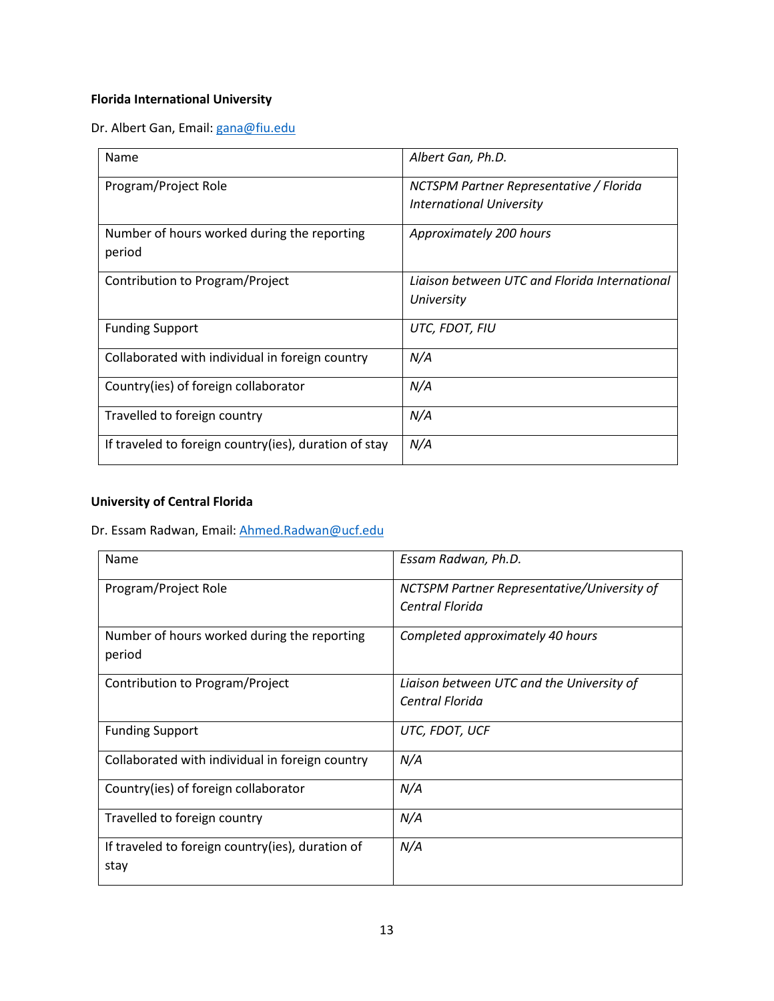### **Florida International University**

Dr. Albert Gan, Email: [gana@fiu.edu](mailto:gana@fiu.edu)

| Name                                                  | Albert Gan, Ph.D.                                                   |
|-------------------------------------------------------|---------------------------------------------------------------------|
| Program/Project Role                                  | NCTSPM Partner Representative / Florida<br>International University |
| Number of hours worked during the reporting<br>period | Approximately 200 hours                                             |
| Contribution to Program/Project                       | Ligison between UTC and Florida International<br>University         |
| <b>Funding Support</b>                                | UTC, FDOT, FIU                                                      |
| Collaborated with individual in foreign country       | N/A                                                                 |
| Country(ies) of foreign collaborator                  | N/A                                                                 |
| Travelled to foreign country                          | N/A                                                                 |
| If traveled to foreign country(ies), duration of stay | N/A                                                                 |

#### **University of Central Florida**

Dr. Essam Radwan, Email[: Ahmed.Radwan@ucf.edu](mailto:Ahmed.Radwan@ucf.edu)

| Name                                             | Essam Radwan, Ph.D.                         |
|--------------------------------------------------|---------------------------------------------|
| Program/Project Role                             | NCTSPM Partner Representative/University of |
|                                                  | Central Florida                             |
| Number of hours worked during the reporting      | Completed approximately 40 hours            |
| period                                           |                                             |
| Contribution to Program/Project                  | Liaison between UTC and the University of   |
|                                                  | Central Florida                             |
| <b>Funding Support</b>                           | UTC, FDOT, UCF                              |
| Collaborated with individual in foreign country  | N/A                                         |
| Country(ies) of foreign collaborator             | N/A                                         |
| Travelled to foreign country                     | N/A                                         |
| If traveled to foreign country(ies), duration of | N/A                                         |
| stay                                             |                                             |
|                                                  |                                             |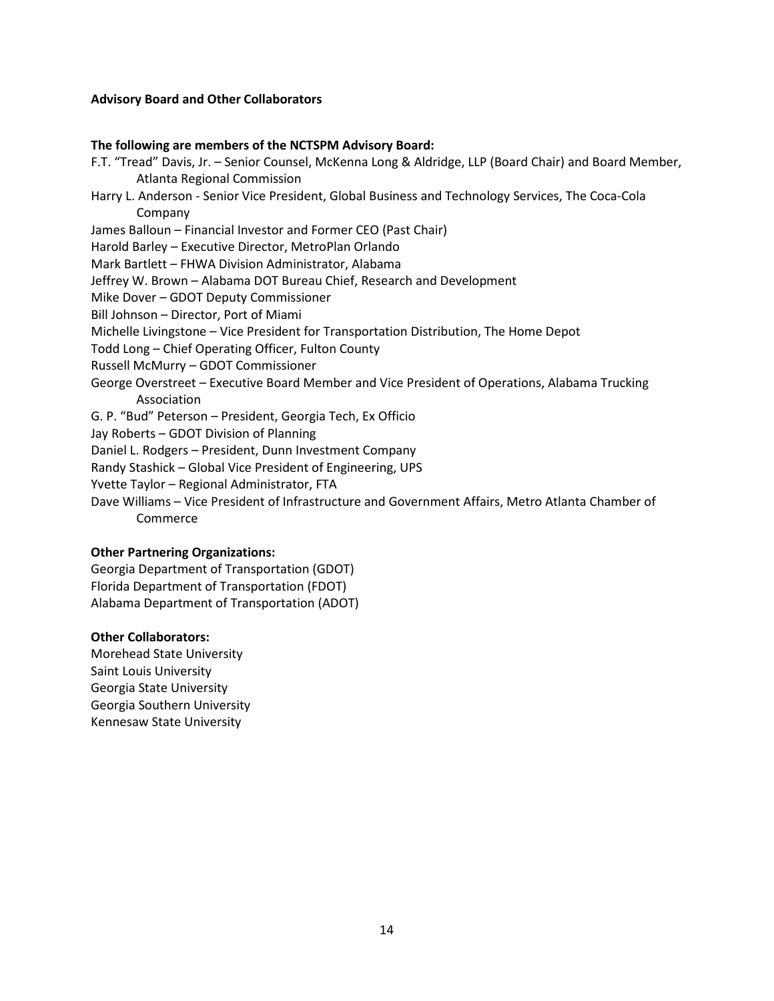#### **Advisory Board and Other Collaborators**

#### **The following are members of the NCTSPM Advisory Board:**

- F.T. "Tread" Davis, Jr. Senior Counsel, McKenna Long & Aldridge, LLP (Board Chair) and Board Member, Atlanta Regional Commission
- Harry L. Anderson Senior Vice President, Global Business and Technology Services, The Coca-Cola Company
- James Balloun Financial Investor and Former CEO (Past Chair)
- Harold Barley Executive Director, MetroPlan Orlando
- Mark Bartlett FHWA Division Administrator, Alabama
- Jeffrey W. Brown Alabama DOT Bureau Chief, Research and Development
- Mike Dover GDOT Deputy Commissioner
- Bill Johnson Director, Port of Miami
- Michelle Livingstone Vice President for Transportation Distribution, The Home Depot
- Todd Long Chief Operating Officer, Fulton County
- Russell McMurry GDOT Commissioner
- George Overstreet Executive Board Member and Vice President of Operations, Alabama Trucking Association
- G. P. "Bud" Peterson President, Georgia Tech, Ex Officio
- Jay Roberts GDOT Division of Planning
- Daniel L. Rodgers President, Dunn Investment Company
- Randy Stashick Global Vice President of Engineering, UPS
- Yvette Taylor Regional Administrator, FTA
- Dave Williams Vice President of Infrastructure and Government Affairs, Metro Atlanta Chamber of Commerce

#### **Other Partnering Organizations:**

Georgia Department of Transportation (GDOT) Florida Department of Transportation (FDOT) Alabama Department of Transportation (ADOT)

#### **Other Collaborators:**

Morehead State University Saint Louis University Georgia State University Georgia Southern University Kennesaw State University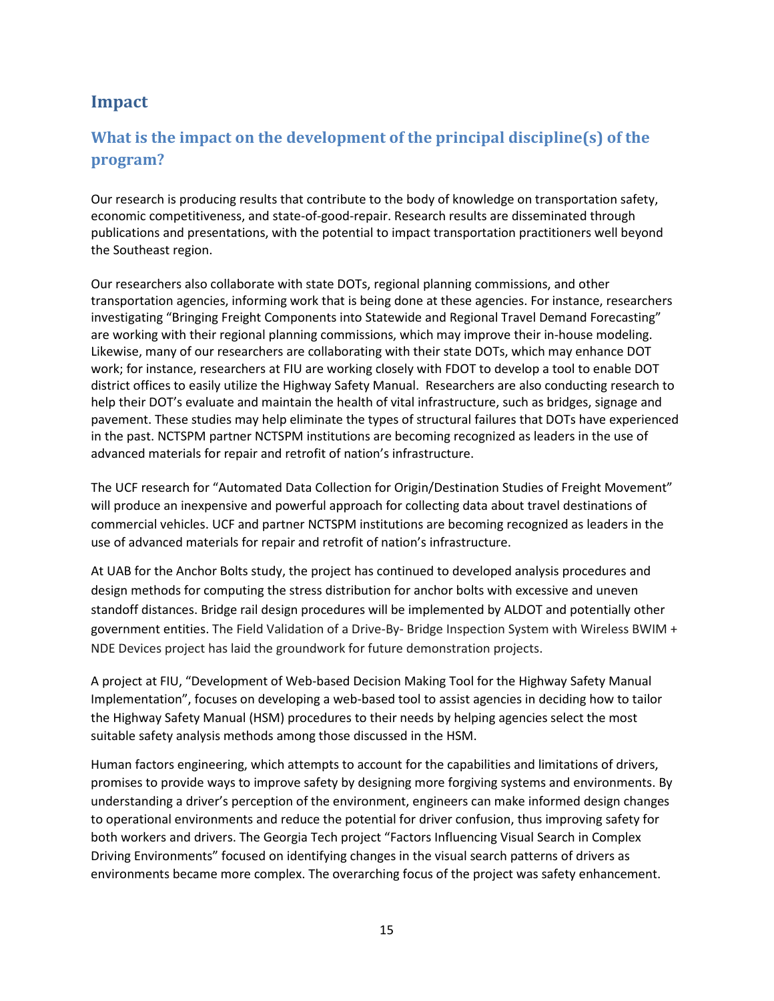## **Impact**

## **What is the impact on the development of the principal discipline(s) of the program?**

Our research is producing results that contribute to the body of knowledge on transportation safety, economic competitiveness, and state-of-good-repair. Research results are disseminated through publications and presentations, with the potential to impact transportation practitioners well beyond the Southeast region.

Our researchers also collaborate with state DOTs, regional planning commissions, and other transportation agencies, informing work that is being done at these agencies. For instance, researchers investigating "Bringing Freight Components into Statewide and Regional Travel Demand Forecasting" are working with their regional planning commissions, which may improve their in-house modeling. Likewise, many of our researchers are collaborating with their state DOTs, which may enhance DOT work; for instance, researchers at FIU are working closely with FDOT to develop a tool to enable DOT district offices to easily utilize the Highway Safety Manual. Researchers are also conducting research to help their DOT's evaluate and maintain the health of vital infrastructure, such as bridges, signage and pavement. These studies may help eliminate the types of structural failures that DOTs have experienced in the past. NCTSPM partner NCTSPM institutions are becoming recognized as leaders in the use of advanced materials for repair and retrofit of nation's infrastructure.

The UCF research for "Automated Data Collection for Origin/Destination Studies of Freight Movement" will produce an inexpensive and powerful approach for collecting data about travel destinations of commercial vehicles. UCF and partner NCTSPM institutions are becoming recognized as leaders in the use of advanced materials for repair and retrofit of nation's infrastructure.

At UAB for the Anchor Bolts study, the project has continued to developed analysis procedures and design methods for computing the stress distribution for anchor bolts with excessive and uneven standoff distances. Bridge rail design procedures will be implemented by ALDOT and potentially other government entities. The Field Validation of a Drive-By- Bridge Inspection System with Wireless BWIM + NDE Devices project has laid the groundwork for future demonstration projects.

A project at FIU, "Development of Web-based Decision Making Tool for the Highway Safety Manual Implementation", focuses on developing a web-based tool to assist agencies in deciding how to tailor the Highway Safety Manual (HSM) procedures to their needs by helping agencies select the most suitable safety analysis methods among those discussed in the HSM.

Human factors engineering, which attempts to account for the capabilities and limitations of drivers, promises to provide ways to improve safety by designing more forgiving systems and environments. By understanding a driver's perception of the environment, engineers can make informed design changes to operational environments and reduce the potential for driver confusion, thus improving safety for both workers and drivers. The Georgia Tech project "Factors Influencing Visual Search in Complex Driving Environments" focused on identifying changes in the visual search patterns of drivers as environments became more complex. The overarching focus of the project was safety enhancement.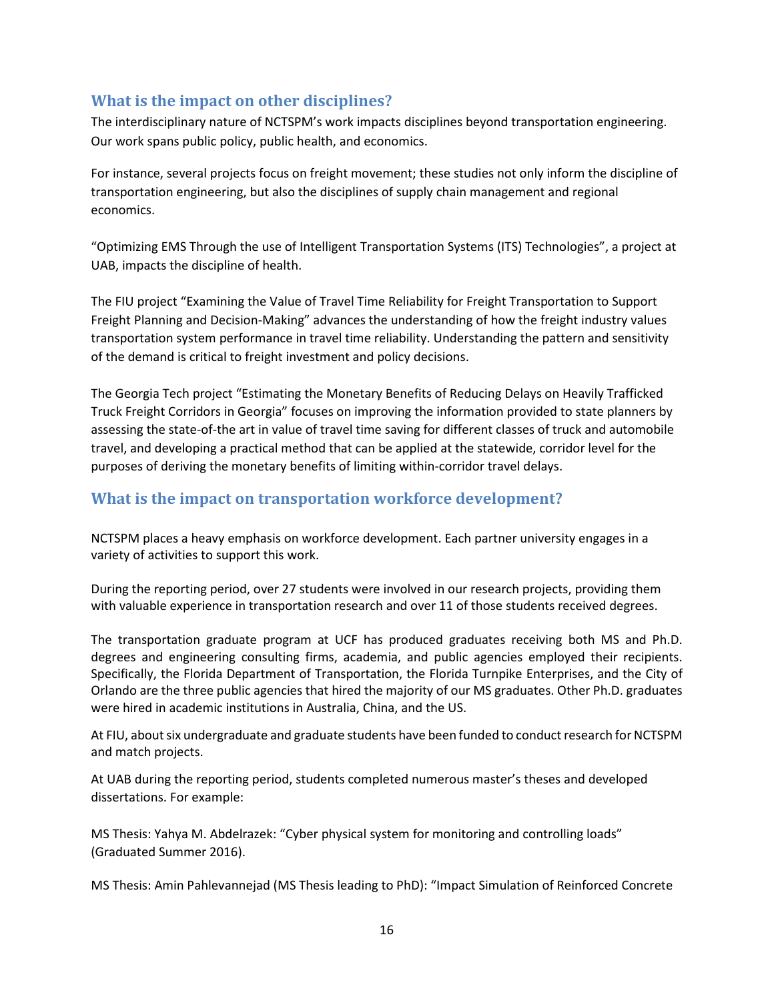### **What is the impact on other disciplines?**

The interdisciplinary nature of NCTSPM's work impacts disciplines beyond transportation engineering. Our work spans public policy, public health, and economics.

For instance, several projects focus on freight movement; these studies not only inform the discipline of transportation engineering, but also the disciplines of supply chain management and regional economics.

"Optimizing EMS Through the use of Intelligent Transportation Systems (ITS) Technologies", a project at UAB, impacts the discipline of health.

The FIU project "Examining the Value of Travel Time Reliability for Freight Transportation to Support Freight Planning and Decision-Making" advances the understanding of how the freight industry values transportation system performance in travel time reliability. Understanding the pattern and sensitivity of the demand is critical to freight investment and policy decisions.

The Georgia Tech project "Estimating the Monetary Benefits of Reducing Delays on Heavily Trafficked Truck Freight Corridors in Georgia" focuses on improving the information provided to state planners by assessing the state-of-the art in value of travel time saving for different classes of truck and automobile travel, and developing a practical method that can be applied at the statewide, corridor level for the purposes of deriving the monetary benefits of limiting within-corridor travel delays.

### **What is the impact on transportation workforce development?**

NCTSPM places a heavy emphasis on workforce development. Each partner university engages in a variety of activities to support this work.

During the reporting period, over 27 students were involved in our research projects, providing them with valuable experience in transportation research and over 11 of those students received degrees.

The transportation graduate program at UCF has produced graduates receiving both MS and Ph.D. degrees and engineering consulting firms, academia, and public agencies employed their recipients. Specifically, the Florida Department of Transportation, the Florida Turnpike Enterprises, and the City of Orlando are the three public agencies that hired the majority of our MS graduates. Other Ph.D. graduates were hired in academic institutions in Australia, China, and the US.

At FIU, about six undergraduate and graduate students have been funded to conduct research for NCTSPM and match projects.

At UAB during the reporting period, students completed numerous master's theses and developed dissertations. For example:

MS Thesis: Yahya M. Abdelrazek: "Cyber physical system for monitoring and controlling loads" (Graduated Summer 2016).

MS Thesis: Amin Pahlevannejad (MS Thesis leading to PhD): "Impact Simulation of Reinforced Concrete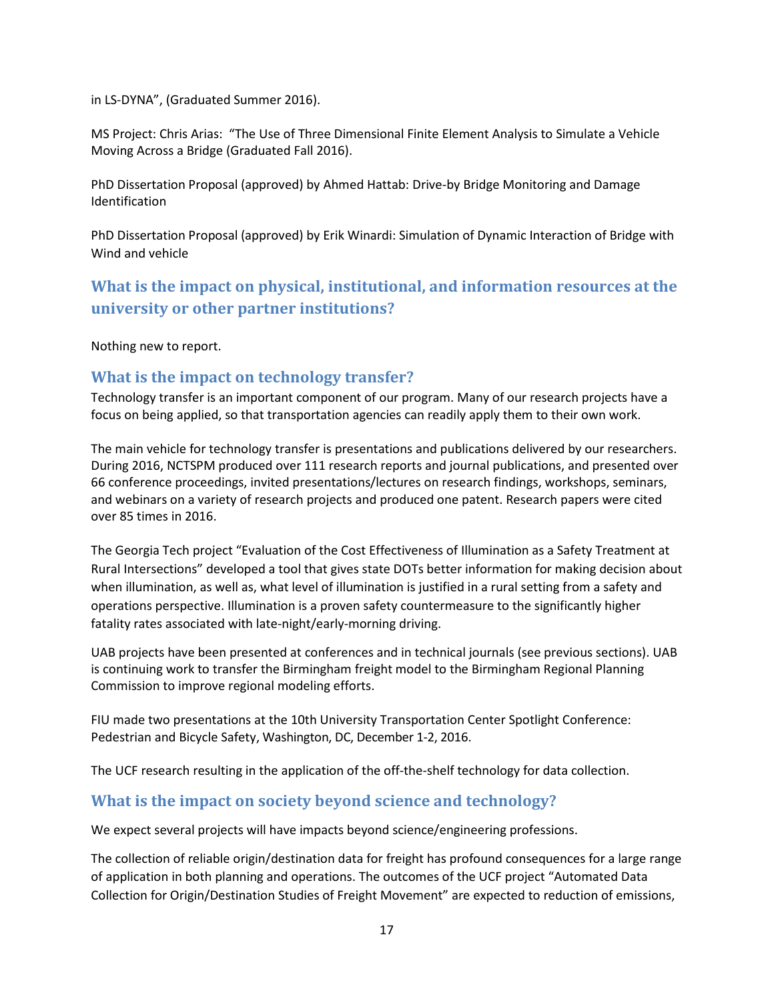in LS-DYNA", (Graduated Summer 2016).

MS Project: Chris Arias: "The Use of Three Dimensional Finite Element Analysis to Simulate a Vehicle Moving Across a Bridge (Graduated Fall 2016).

PhD Dissertation Proposal (approved) by Ahmed Hattab: Drive-by Bridge Monitoring and Damage Identification

PhD Dissertation Proposal (approved) by Erik Winardi: Simulation of Dynamic Interaction of Bridge with Wind and vehicle

**What is the impact on physical, institutional, and information resources at the university or other partner institutions?**

Nothing new to report.

#### **What is the impact on technology transfer?**

Technology transfer is an important component of our program. Many of our research projects have a focus on being applied, so that transportation agencies can readily apply them to their own work.

The main vehicle for technology transfer is presentations and publications delivered by our researchers. During 2016, NCTSPM produced over 111 research reports and journal publications, and presented over 66 conference proceedings, invited presentations/lectures on research findings, workshops, seminars, and webinars on a variety of research projects and produced one patent. Research papers were cited over 85 times in 2016.

The Georgia Tech project "Evaluation of the Cost Effectiveness of Illumination as a Safety Treatment at Rural Intersections" developed a tool that gives state DOTs better information for making decision about when illumination, as well as, what level of illumination is justified in a rural setting from a safety and operations perspective. Illumination is a proven safety countermeasure to the significantly higher fatality rates associated with late-night/early-morning driving.

UAB projects have been presented at conferences and in technical journals (see previous sections). UAB is continuing work to transfer the Birmingham freight model to the Birmingham Regional Planning Commission to improve regional modeling efforts.

FIU made two presentations at the 10th University Transportation Center Spotlight Conference: Pedestrian and Bicycle Safety, Washington, DC, December 1-2, 2016.

The UCF research resulting in the application of the off-the-shelf technology for data collection.

### **What is the impact on society beyond science and technology?**

We expect several projects will have impacts beyond science/engineering professions.

The collection of reliable origin/destination data for freight has profound consequences for a large range of application in both planning and operations. The outcomes of the UCF project "Automated Data Collection for Origin/Destination Studies of Freight Movement" are expected to reduction of emissions,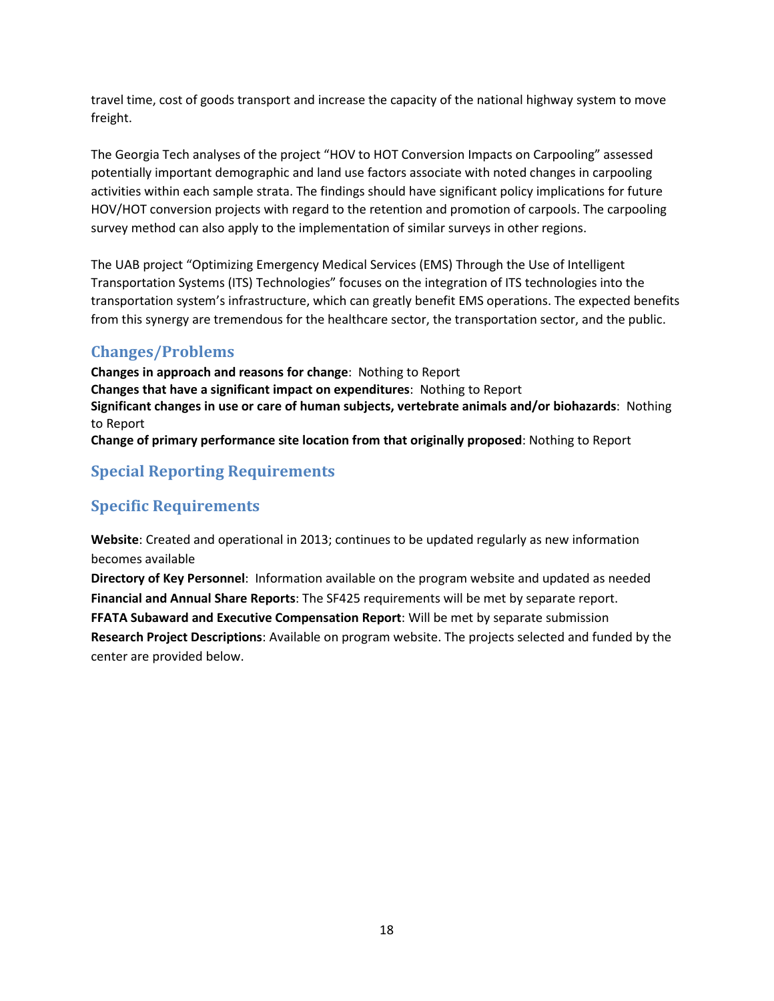travel time, cost of goods transport and increase the capacity of the national highway system to move freight.

The Georgia Tech analyses of the project "HOV to HOT Conversion Impacts on Carpooling" assessed potentially important demographic and land use factors associate with noted changes in carpooling activities within each sample strata. The findings should have significant policy implications for future HOV/HOT conversion projects with regard to the retention and promotion of carpools. The carpooling survey method can also apply to the implementation of similar surveys in other regions.

The UAB project "Optimizing Emergency Medical Services (EMS) Through the Use of Intelligent Transportation Systems (ITS) Technologies" focuses on the integration of ITS technologies into the transportation system's infrastructure, which can greatly benefit EMS operations. The expected benefits from this synergy are tremendous for the healthcare sector, the transportation sector, and the public.

### **Changes/Problems**

**Changes in approach and reasons for change**: Nothing to Report **Changes that have a significant impact on expenditures**: Nothing to Report **Significant changes in use or care of human subjects, vertebrate animals and/or biohazards**: Nothing to Report **Change of primary performance site location from that originally proposed**: Nothing to Report

## **Special Reporting Requirements**

### **Specific Requirements**

**Website**: Created and operational in 2013; continues to be updated regularly as new information becomes available

**Directory of Key Personnel**: Information available on the program website and updated as needed **Financial and Annual Share Reports**: The SF425 requirements will be met by separate report. **FFATA Subaward and Executive Compensation Report**: Will be met by separate submission **Research Project Descriptions**: Available on program website. The projects selected and funded by the center are provided below.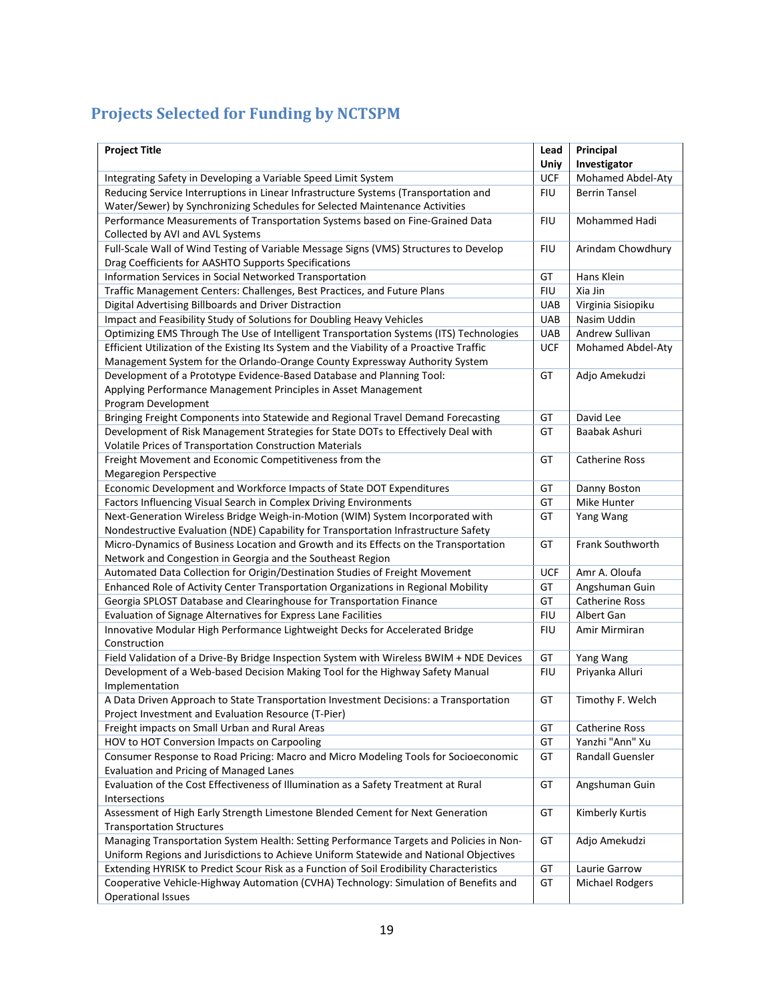# **Projects Selected for Funding by NCTSPM**

| <b>Project Title</b>                                                                                                                                               | Lead               | Principal                         |
|--------------------------------------------------------------------------------------------------------------------------------------------------------------------|--------------------|-----------------------------------|
| Integrating Safety in Developing a Variable Speed Limit System                                                                                                     | Uniy<br><b>UCF</b> | Investigator<br>Mohamed Abdel-Aty |
|                                                                                                                                                                    | <b>FIU</b>         | <b>Berrin Tansel</b>              |
| Reducing Service Interruptions in Linear Infrastructure Systems (Transportation and<br>Water/Sewer) by Synchronizing Schedules for Selected Maintenance Activities |                    |                                   |
| Performance Measurements of Transportation Systems based on Fine-Grained Data                                                                                      | <b>FIU</b>         | Mohammed Hadi                     |
|                                                                                                                                                                    |                    |                                   |
| Collected by AVI and AVL Systems<br>Full-Scale Wall of Wind Testing of Variable Message Signs (VMS) Structures to Develop                                          | <b>FIU</b>         | Arindam Chowdhury                 |
| Drag Coefficients for AASHTO Supports Specifications                                                                                                               |                    |                                   |
|                                                                                                                                                                    | GT                 | Hans Klein                        |
| Information Services in Social Networked Transportation                                                                                                            | <b>FIU</b>         | Xia Jin                           |
| Traffic Management Centers: Challenges, Best Practices, and Future Plans                                                                                           |                    |                                   |
| Digital Advertising Billboards and Driver Distraction                                                                                                              | <b>UAB</b>         | Virginia Sisiopiku                |
| Impact and Feasibility Study of Solutions for Doubling Heavy Vehicles                                                                                              | <b>UAB</b>         | Nasim Uddin                       |
| Optimizing EMS Through The Use of Intelligent Transportation Systems (ITS) Technologies                                                                            | <b>UAB</b>         | Andrew Sullivan                   |
| Efficient Utilization of the Existing Its System and the Viability of a Proactive Traffic                                                                          | <b>UCF</b>         | Mohamed Abdel-Aty                 |
| Management System for the Orlando-Orange County Expressway Authority System                                                                                        |                    |                                   |
| Development of a Prototype Evidence-Based Database and Planning Tool:                                                                                              | GT                 | Adjo Amekudzi                     |
| Applying Performance Management Principles in Asset Management                                                                                                     |                    |                                   |
| Program Development                                                                                                                                                |                    |                                   |
| Bringing Freight Components into Statewide and Regional Travel Demand Forecasting                                                                                  | GT                 | David Lee                         |
| Development of Risk Management Strategies for State DOTs to Effectively Deal with                                                                                  | GT                 | Baabak Ashuri                     |
| Volatile Prices of Transportation Construction Materials                                                                                                           |                    |                                   |
| Freight Movement and Economic Competitiveness from the                                                                                                             | GT                 | <b>Catherine Ross</b>             |
| <b>Megaregion Perspective</b>                                                                                                                                      |                    |                                   |
| Economic Development and Workforce Impacts of State DOT Expenditures                                                                                               | GT                 | Danny Boston                      |
| Factors Influencing Visual Search in Complex Driving Environments                                                                                                  | GT                 | Mike Hunter                       |
| Next-Generation Wireless Bridge Weigh-in-Motion (WIM) System Incorporated with                                                                                     | GT                 | Yang Wang                         |
| Nondestructive Evaluation (NDE) Capability for Transportation Infrastructure Safety                                                                                |                    |                                   |
| Micro-Dynamics of Business Location and Growth and its Effects on the Transportation                                                                               | GT                 | Frank Southworth                  |
| Network and Congestion in Georgia and the Southeast Region                                                                                                         |                    |                                   |
| Automated Data Collection for Origin/Destination Studies of Freight Movement                                                                                       | <b>UCF</b>         | Amr A. Oloufa                     |
| Enhanced Role of Activity Center Transportation Organizations in Regional Mobility                                                                                 | GT                 | Angshuman Guin                    |
| Georgia SPLOST Database and Clearinghouse for Transportation Finance                                                                                               | GT                 | <b>Catherine Ross</b>             |
| Evaluation of Signage Alternatives for Express Lane Facilities                                                                                                     | <b>FIU</b>         | Albert Gan                        |
| Innovative Modular High Performance Lightweight Decks for Accelerated Bridge                                                                                       | <b>FIU</b>         | Amir Mirmiran                     |
| Construction                                                                                                                                                       |                    |                                   |
| Field Validation of a Drive-By Bridge Inspection System with Wireless BWIM + NDE Devices                                                                           | GT                 | Yang Wang                         |
| Development of a Web-based Decision Making Tool for the Highway Safety Manual                                                                                      | <b>FIU</b>         | Priyanka Alluri                   |
| Implementation                                                                                                                                                     |                    |                                   |
| A Data Driven Approach to State Transportation Investment Decisions: a Transportation                                                                              | GT                 | Timothy F. Welch                  |
| Project Investment and Evaluation Resource (T-Pier)                                                                                                                |                    |                                   |
| Freight impacts on Small Urban and Rural Areas                                                                                                                     | GT                 | <b>Catherine Ross</b>             |
| HOV to HOT Conversion Impacts on Carpooling                                                                                                                        | GT                 | Yanzhi "Ann" Xu                   |
| Consumer Response to Road Pricing: Macro and Micro Modeling Tools for Socioeconomic                                                                                | GT                 | Randall Guensler                  |
| <b>Evaluation and Pricing of Managed Lanes</b>                                                                                                                     |                    |                                   |
| Evaluation of the Cost Effectiveness of Illumination as a Safety Treatment at Rural                                                                                | GT                 | Angshuman Guin                    |
| Intersections                                                                                                                                                      |                    |                                   |
| Assessment of High Early Strength Limestone Blended Cement for Next Generation                                                                                     | GT                 | Kimberly Kurtis                   |
| <b>Transportation Structures</b>                                                                                                                                   |                    |                                   |
| Managing Transportation System Health: Setting Performance Targets and Policies in Non-                                                                            | GT                 | Adjo Amekudzi                     |
| Uniform Regions and Jurisdictions to Achieve Uniform Statewide and National Objectives                                                                             |                    |                                   |
| Extending HYRISK to Predict Scour Risk as a Function of Soil Erodibility Characteristics                                                                           | GT                 | Laurie Garrow                     |
| Cooperative Vehicle-Highway Automation (CVHA) Technology: Simulation of Benefits and                                                                               | GT                 | <b>Michael Rodgers</b>            |
| <b>Operational Issues</b>                                                                                                                                          |                    |                                   |